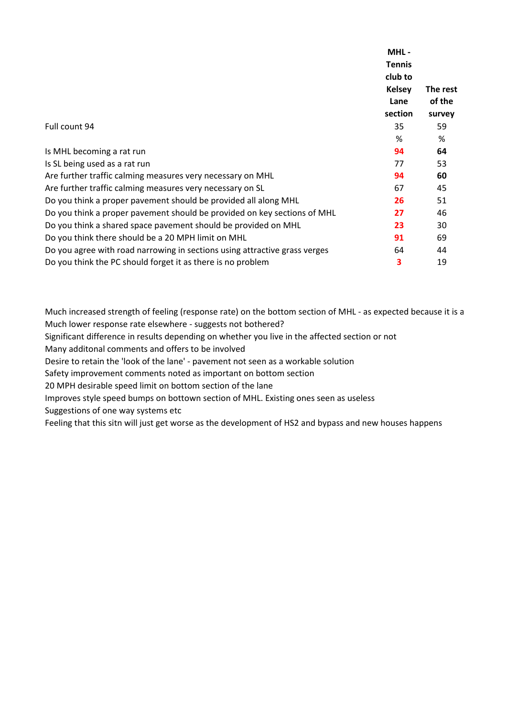|                                                                            | MHL-                                      | The rest |
|----------------------------------------------------------------------------|-------------------------------------------|----------|
|                                                                            | <b>Tennis</b><br>club to<br><b>Kelsey</b> |          |
|                                                                            |                                           |          |
|                                                                            |                                           |          |
|                                                                            | Lane                                      | of the   |
|                                                                            | section                                   | survey   |
| Full count 94                                                              | 35                                        | 59       |
|                                                                            | %                                         | %        |
| Is MHL becoming a rat run                                                  | 94                                        | 64       |
| Is SL being used as a rat run                                              | 77                                        | 53       |
| Are further traffic calming measures very necessary on MHL                 | 94                                        | 60       |
| Are further traffic calming measures very necessary on SL                  | 67                                        | 45       |
| Do you think a proper pavement should be provided all along MHL            | 26                                        | 51       |
| Do you think a proper pavement should be provided on key sections of MHL   | 27                                        | 46       |
| Do you think a shared space pavement should be provided on MHL             | 23                                        | 30       |
| Do you think there should be a 20 MPH limit on MHL                         | 91                                        | 69       |
| Do you agree with road narrowing in sections using attractive grass verges | 64                                        | 44       |
| Do you think the PC should forget it as there is no problem                | 3                                         | 19       |

Much increased strength of feeling (response rate) on the bottom section of MHL - as expected because it is a Much lower response rate elsewhere - suggests not bothered?

Significant difference in results depending on whether you live in the affected section or not

Many additonal comments and offers to be involved

Desire to retain the 'look of the lane' - pavement not seen as a workable solution

Safety improvement comments noted as important on bottom section

20 MPH desirable speed limit on bottom section of the lane

Improves style speed bumps on bottown section of MHL. Existing ones seen as useless

Suggestions of one way systems etc

Feeling that this sitn will just get worse as the development of HS2 and bypass and new houses happens